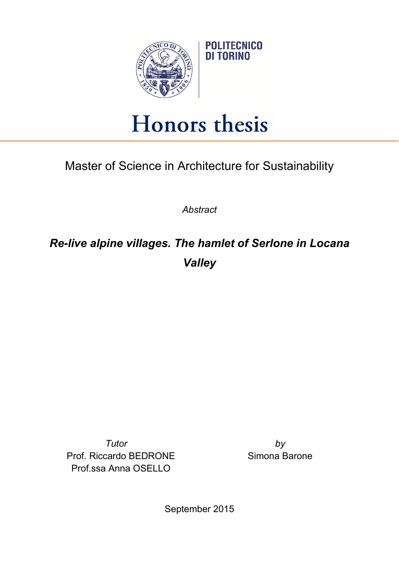

## Honors thesis

Master of Science in Architecture for Sustainability

*Abstract*

*Re-live alpine villages. The hamlet of Serlone in Locana Valley*

*Tutor by* Prof. Riccardo BEDRONE Prof.ssa Anna OSELLO

Simona Barone

September 2015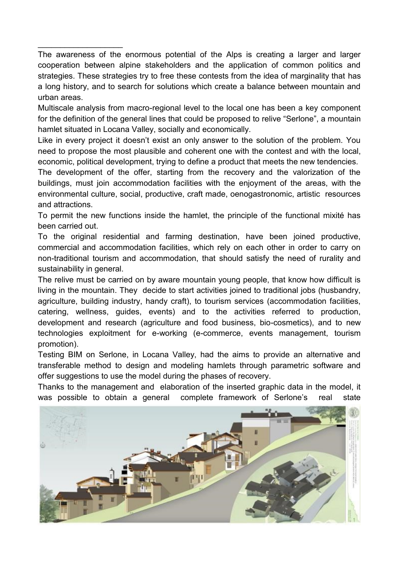The awareness of the enormous potential of the Alps is creating a larger and larger cooperation between alpine stakeholders and the application of common politics and strategies. These strategies try to free these contests from the idea of marginality that has a long history, and to search for solutions which create a balance between mountain and urban areas.

 $\_$ 

Multiscale analysis from macro-regional level to the local one has been a key component for the definition of the general lines that could be proposed to relive "Serlone", a mountain hamlet situated in Locana Valley, socially and economically.

Like in every project it doesn't exist an only answer to the solution of the problem. You need to propose the most plausible and coherent one with the contest and with the local, economic, political development, trying to define a product that meets the new tendencies.

The development of the offer, starting from the recovery and the valorization of the buildings, must join accommodation facilities with the enjoyment of the areas, with the environmental culture, social, productive, craft made, oenogastronomic, artistic resources and attractions.

To permit the new functions inside the hamlet, the principle of the functional mixité has been carried out.

To the original residential and farming destination, have been joined productive, commercial and accommodation facilities, which rely on each other in order to carry on non-traditional tourism and accommodation, that should satisfy the need of rurality and sustainability in general.

The relive must be carried on by aware mountain young people, that know how difficult is living in the mountain. They decide to start activities joined to traditional jobs (husbandry, agriculture, building industry, handy craft), to tourism services (accommodation facilities, catering, wellness, guides, events) and to the activities referred to production, development and research (agriculture and food business, bio-cosmetics), and to new technologies exploitment for e-working (e-commerce, events management, tourism promotion).

Testing BIM on Serlone, in Locana Valley, had the aims to provide an alternative and transferable method to design and modeling hamlets through parametric software and offer suggestions to use the model during the phases of recovery.

Thanks to the management and elaboration of the inserted graphic data in the model, it was possible to obtain a general complete framework of Serlone's real state